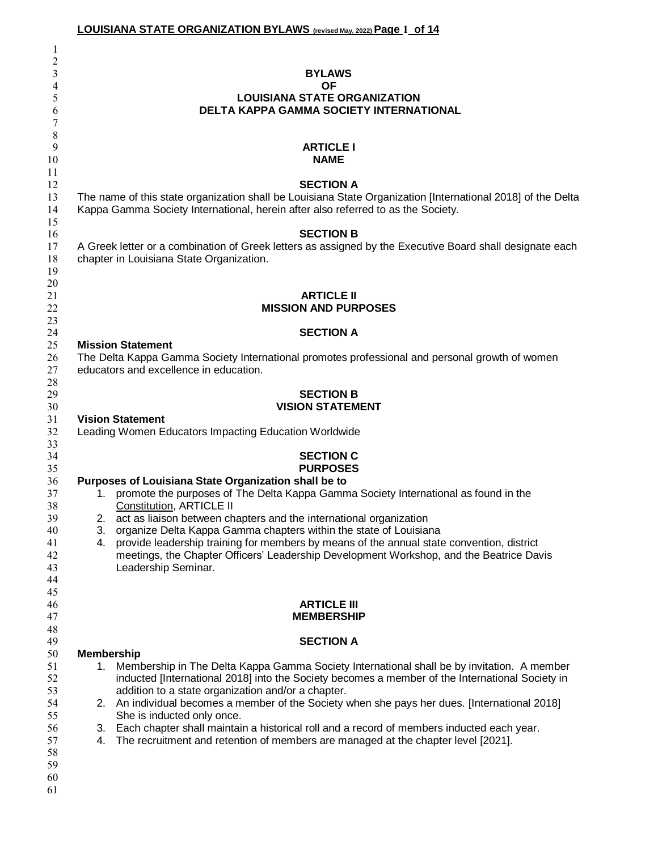|              | <b>LOUISIANA STATE ORGANIZATION BYLAWS</b> (revised May, 2022) Page 1 of 14                                 |
|--------------|-------------------------------------------------------------------------------------------------------------|
| $\mathbf{I}$ |                                                                                                             |
| 2            |                                                                                                             |
| 3            | <b>BYLAWS</b>                                                                                               |
| 4            | <b>OF</b>                                                                                                   |
| 5            | <b>LOUISIANA STATE ORGANIZATION</b>                                                                         |
| 6            | <b>DELTA KAPPA GAMMA SOCIETY INTERNATIONAL</b>                                                              |
| 7            |                                                                                                             |
| $\,8\,$      |                                                                                                             |
| 9            | <b>ARTICLE I</b><br><b>NAME</b>                                                                             |
| 10<br>11     |                                                                                                             |
| 12           | <b>SECTION A</b>                                                                                            |
| 13           | The name of this state organization shall be Louisiana State Organization [International 2018] of the Delta |
| 14           | Kappa Gamma Society International, herein after also referred to as the Society.                            |
| 15           |                                                                                                             |
| 16           | <b>SECTION B</b>                                                                                            |
| 17           | A Greek letter or a combination of Greek letters as assigned by the Executive Board shall designate each    |
| 18           | chapter in Louisiana State Organization.                                                                    |
| 19           |                                                                                                             |
| 20           |                                                                                                             |
| 21           | <b>ARTICLE II</b>                                                                                           |
| 22           | <b>MISSION AND PURPOSES</b>                                                                                 |
| 23           |                                                                                                             |
| 24           | <b>SECTION A</b><br><b>Mission Statement</b>                                                                |
| 25<br>26     | The Delta Kappa Gamma Society International promotes professional and personal growth of women              |
| 27           | educators and excellence in education.                                                                      |
| 28           |                                                                                                             |
| 29           | <b>SECTION B</b>                                                                                            |
| 30           | <b>VISION STATEMENT</b>                                                                                     |
| 31           | <b>Vision Statement</b>                                                                                     |
| 32           | Leading Women Educators Impacting Education Worldwide                                                       |
| 33           |                                                                                                             |
| 34           | <b>SECTION C</b>                                                                                            |
| 35           | <b>PURPOSES</b>                                                                                             |
| 36           | Purposes of Louisiana State Organization shall be to                                                        |
| 37           | 1. promote the purposes of The Delta Kappa Gamma Society International as found in the                      |
| 38           | Constitution, ARTICLE II                                                                                    |
| 39           | act as liaison between chapters and the international organization<br>2.                                    |
| 40           | organize Delta Kappa Gamma chapters within the state of Louisiana<br>3.                                     |
| 41           | provide leadership training for members by means of the annual state convention, district<br>4.             |
| 42           | meetings, the Chapter Officers' Leadership Development Workshop, and the Beatrice Davis                     |
| 43           | Leadership Seminar.                                                                                         |
| 44<br>45     |                                                                                                             |
| 46           | <b>ARTICLE III</b>                                                                                          |
| 47           | <b>MEMBERSHIP</b>                                                                                           |
| 48           |                                                                                                             |
| 49           | <b>SECTION A</b>                                                                                            |
| 50           | <b>Membership</b>                                                                                           |
| 51           | Membership in The Delta Kappa Gamma Society International shall be by invitation. A member<br>1.            |
| 52           | inducted [International 2018] into the Society becomes a member of the International Society in             |
| 53           | addition to a state organization and/or a chapter.                                                          |
| 54           | 2. An individual becomes a member of the Society when she pays her dues. [International 2018]               |
| 55           | She is inducted only once.                                                                                  |
| 56           | 3. Each chapter shall maintain a historical roll and a record of members inducted each year.                |
| 57           | The recruitment and retention of members are managed at the chapter level [2021].<br>4.                     |
| 58           |                                                                                                             |
| 59           |                                                                                                             |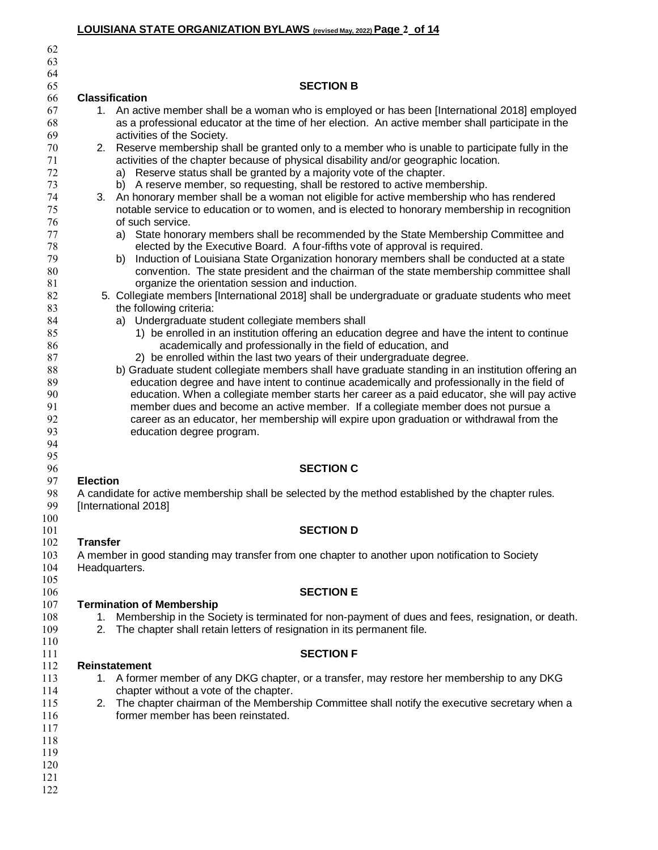# **LOUISIANA STATE ORGANIZATION BYLAWS (revised May, 2022)Page 2 of 14**

| 62                |                                                                                                                                                                                                     |
|-------------------|-----------------------------------------------------------------------------------------------------------------------------------------------------------------------------------------------------|
| 63                |                                                                                                                                                                                                     |
| 64                |                                                                                                                                                                                                     |
| 65                | <b>SECTION B</b>                                                                                                                                                                                    |
| 66                | <b>Classification</b>                                                                                                                                                                               |
| 67<br>68          | 1. An active member shall be a woman who is employed or has been [International 2018] employed<br>as a professional educator at the time of her election. An active member shall participate in the |
| 69                | activities of the Society.                                                                                                                                                                          |
| 70<br>71          | 2. Reserve membership shall be granted only to a member who is unable to participate fully in the                                                                                                   |
| 72                | activities of the chapter because of physical disability and/or geographic location.<br>a) Reserve status shall be granted by a majority vote of the chapter.                                       |
| 73                | b) A reserve member, so requesting, shall be restored to active membership.                                                                                                                         |
| 74                | 3. An honorary member shall be a woman not eligible for active membership who has rendered                                                                                                          |
| 75                | notable service to education or to women, and is elected to honorary membership in recognition                                                                                                      |
| 76                | of such service.                                                                                                                                                                                    |
| 77                | a) State honorary members shall be recommended by the State Membership Committee and                                                                                                                |
| 78                | elected by the Executive Board. A four-fifths vote of approval is required.                                                                                                                         |
| 79                | Induction of Louisiana State Organization honorary members shall be conducted at a state<br>b)                                                                                                      |
| 80                | convention. The state president and the chairman of the state membership committee shall                                                                                                            |
| 81                | organize the orientation session and induction.                                                                                                                                                     |
| 82                | 5. Collegiate members [International 2018] shall be undergraduate or graduate students who meet                                                                                                     |
| 83                | the following criteria:                                                                                                                                                                             |
| 84                | a) Undergraduate student collegiate members shall                                                                                                                                                   |
| 85                | 1) be enrolled in an institution offering an education degree and have the intent to continue                                                                                                       |
| 86                | academically and professionally in the field of education, and                                                                                                                                      |
| 87                | 2) be enrolled within the last two years of their undergraduate degree.                                                                                                                             |
| 88<br>89          | b) Graduate student collegiate members shall have graduate standing in an institution offering an<br>education degree and have intent to continue academically and professionally in the field of   |
| 90                | education. When a collegiate member starts her career as a paid educator, she will pay active                                                                                                       |
| 91                | member dues and become an active member. If a collegiate member does not pursue a                                                                                                                   |
| 92                | career as an educator, her membership will expire upon graduation or withdrawal from the                                                                                                            |
| 93                | education degree program.                                                                                                                                                                           |
| 94                |                                                                                                                                                                                                     |
| 95                |                                                                                                                                                                                                     |
| 96                | <b>SECTION C</b>                                                                                                                                                                                    |
| 97                | <b>Election</b>                                                                                                                                                                                     |
| 98<br>99          | A candidate for active membership shall be selected by the method established by the chapter rules.<br>[International 2018]                                                                         |
| 100<br>101<br>102 | <b>SECTION D</b><br><b>Transfer</b>                                                                                                                                                                 |
| 103<br>104        | A member in good standing may transfer from one chapter to another upon notification to Society<br>Headquarters.                                                                                    |
| 105<br>106        | <b>SECTION E</b>                                                                                                                                                                                    |
| 107               | <b>Termination of Membership</b>                                                                                                                                                                    |
| 108               | Membership in the Society is terminated for non-payment of dues and fees, resignation, or death.<br>1.                                                                                              |
| 109<br>110        | The chapter shall retain letters of resignation in its permanent file.<br>2.                                                                                                                        |
| 111               | <b>SECTION F</b>                                                                                                                                                                                    |
| 112               | Reinstatement                                                                                                                                                                                       |
| 113               | 1. A former member of any DKG chapter, or a transfer, may restore her membership to any DKG                                                                                                         |
| 114               | chapter without a vote of the chapter.                                                                                                                                                              |
| 115               | The chapter chairman of the Membership Committee shall notify the executive secretary when a<br>2.                                                                                                  |
| 116               | former member has been reinstated.                                                                                                                                                                  |
| 117               |                                                                                                                                                                                                     |
| 118               |                                                                                                                                                                                                     |
| 119               |                                                                                                                                                                                                     |
| 120               |                                                                                                                                                                                                     |
| 121<br>122        |                                                                                                                                                                                                     |
|                   |                                                                                                                                                                                                     |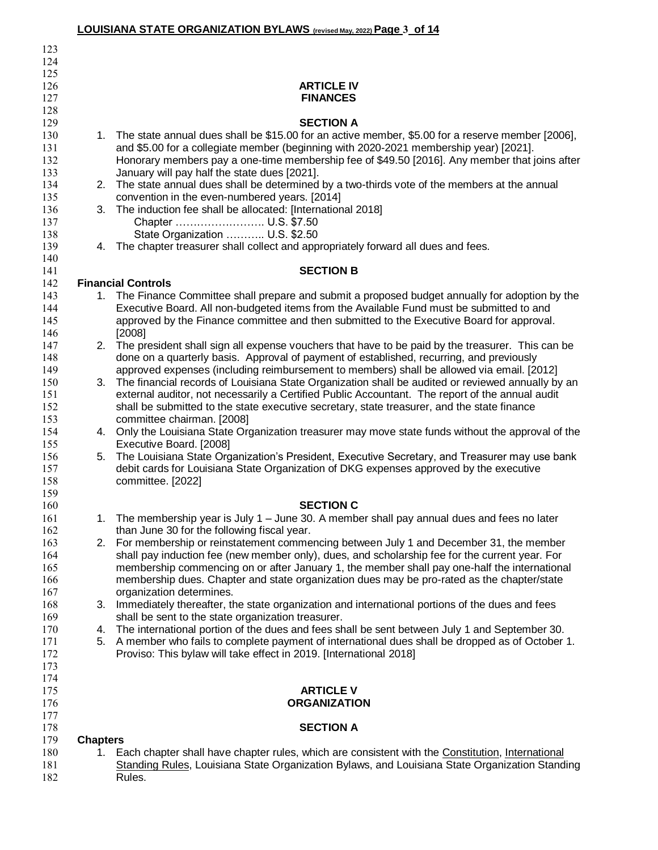|            |                 | LOUISIANA STATE ORGANIZATION BYLAWS (revised May, 2022) Page 3_of 14                                                                                                                              |
|------------|-----------------|---------------------------------------------------------------------------------------------------------------------------------------------------------------------------------------------------|
| 123        |                 |                                                                                                                                                                                                   |
| 124        |                 |                                                                                                                                                                                                   |
| 125        |                 |                                                                                                                                                                                                   |
| 126        |                 | <b>ARTICLE IV</b>                                                                                                                                                                                 |
| 127        |                 | <b>FINANCES</b>                                                                                                                                                                                   |
| 128        |                 |                                                                                                                                                                                                   |
| 129        |                 | <b>SECTION A</b>                                                                                                                                                                                  |
| 130        |                 | 1. The state annual dues shall be \$15.00 for an active member, \$5.00 for a reserve member [2006],                                                                                               |
| 131        |                 | and \$5.00 for a collegiate member (beginning with 2020-2021 membership year) [2021].                                                                                                             |
| 132        |                 | Honorary members pay a one-time membership fee of \$49.50 [2016]. Any member that joins after                                                                                                     |
| 133<br>134 |                 | January will pay half the state dues [2021].<br>2. The state annual dues shall be determined by a two-thirds vote of the members at the annual                                                    |
| 135        |                 | convention in the even-numbered years. [2014]                                                                                                                                                     |
| 136        |                 | 3. The induction fee shall be allocated: [International 2018]                                                                                                                                     |
| 137        |                 | Chapter  U.S. \$7.50                                                                                                                                                                              |
| 138        |                 | State Organization  U.S. \$2.50                                                                                                                                                                   |
| 139        |                 | 4. The chapter treasurer shall collect and appropriately forward all dues and fees.                                                                                                               |
| 140        |                 |                                                                                                                                                                                                   |
| 141        |                 | <b>SECTION B</b>                                                                                                                                                                                  |
| 142        |                 | <b>Financial Controls</b>                                                                                                                                                                         |
| 143        |                 | 1. The Finance Committee shall prepare and submit a proposed budget annually for adoption by the                                                                                                  |
| 144        |                 | Executive Board. All non-budgeted items from the Available Fund must be submitted to and                                                                                                          |
| 145        |                 | approved by the Finance committee and then submitted to the Executive Board for approval.                                                                                                         |
| 146        |                 | [2008]                                                                                                                                                                                            |
| 147        |                 | 2. The president shall sign all expense vouchers that have to be paid by the treasurer. This can be                                                                                               |
| 148        |                 | done on a quarterly basis. Approval of payment of established, recurring, and previously                                                                                                          |
| 149<br>150 |                 | approved expenses (including reimbursement to members) shall be allowed via email. [2012]<br>3. The financial records of Louisiana State Organization shall be audited or reviewed annually by an |
| 151        |                 | external auditor, not necessarily a Certified Public Accountant. The report of the annual audit                                                                                                   |
| 152        |                 | shall be submitted to the state executive secretary, state treasurer, and the state finance                                                                                                       |
| 153        |                 | committee chairman. [2008]                                                                                                                                                                        |
| 154        |                 | 4. Only the Louisiana State Organization treasurer may move state funds without the approval of the                                                                                               |
| 155        |                 | Executive Board. [2008]                                                                                                                                                                           |
| 156        |                 | 5. The Louisiana State Organization's President, Executive Secretary, and Treasurer may use bank                                                                                                  |
| 157        |                 | debit cards for Louisiana State Organization of DKG expenses approved by the executive                                                                                                            |
| 158        |                 | committee. [2022]                                                                                                                                                                                 |
| 159        |                 |                                                                                                                                                                                                   |
| 160        |                 | <b>SECTION C</b>                                                                                                                                                                                  |
| 161        |                 | 1. The membership year is July 1 – June 30. A member shall pay annual dues and fees no later                                                                                                      |
| 162        |                 | than June 30 for the following fiscal year.                                                                                                                                                       |
| 163        |                 | 2. For membership or reinstatement commencing between July 1 and December 31, the member                                                                                                          |
| 164<br>165 |                 | shall pay induction fee (new member only), dues, and scholarship fee for the current year. For<br>membership commencing on or after January 1, the member shall pay one-half the international    |
| 166        |                 | membership dues. Chapter and state organization dues may be pro-rated as the chapter/state                                                                                                        |
| 167        |                 | organization determines.                                                                                                                                                                          |
| 168        | 3.              | Immediately thereafter, the state organization and international portions of the dues and fees                                                                                                    |
| 169        |                 | shall be sent to the state organization treasurer.                                                                                                                                                |
| 170        | 4.              | The international portion of the dues and fees shall be sent between July 1 and September 30.                                                                                                     |
| 171        | 5.              | A member who fails to complete payment of international dues shall be dropped as of October 1.                                                                                                    |
| 172        |                 | Proviso: This bylaw will take effect in 2019. [International 2018]                                                                                                                                |
| 173        |                 |                                                                                                                                                                                                   |
| 174        |                 |                                                                                                                                                                                                   |
| 175        |                 | <b>ARTICLE V</b>                                                                                                                                                                                  |
| 176        |                 | <b>ORGANIZATION</b>                                                                                                                                                                               |
| 177<br>178 |                 | <b>SECTION A</b>                                                                                                                                                                                  |
| 179        | <b>Chapters</b> |                                                                                                                                                                                                   |
| 180        |                 | 1. Each chapter shall have chapter rules, which are consistent with the Constitution, International                                                                                               |
| 181        |                 | Standing Rules, Louisiana State Organization Bylaws, and Louisiana State Organization Standing                                                                                                    |
| 182        |                 | Rules.                                                                                                                                                                                            |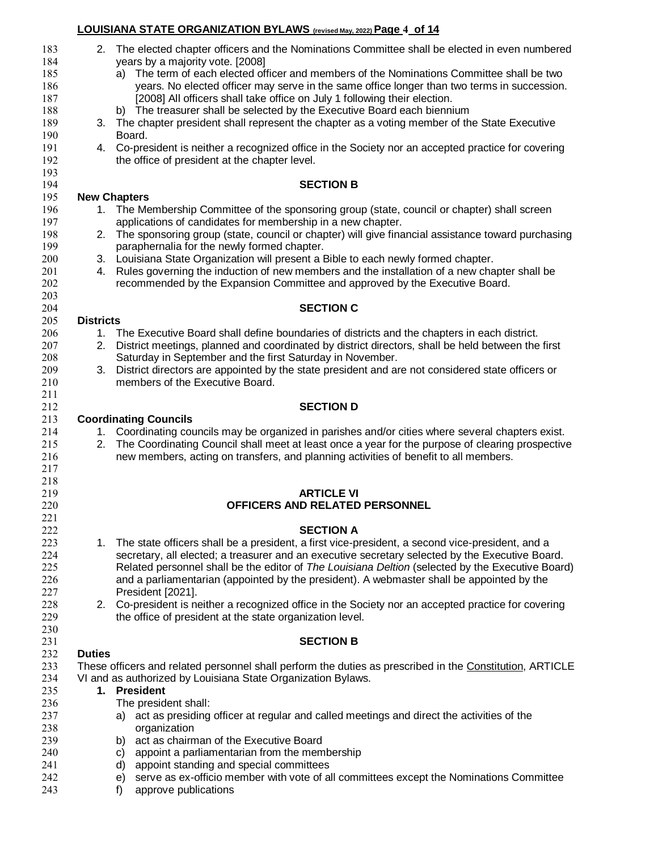| 183        |                  | 2. The elected chapter officers and the Nominations Committee shall be elected in even numbered                                                                                                       |
|------------|------------------|-------------------------------------------------------------------------------------------------------------------------------------------------------------------------------------------------------|
| 184        |                  | years by a majority vote. [2008]                                                                                                                                                                      |
| 185        |                  | a) The term of each elected officer and members of the Nominations Committee shall be two                                                                                                             |
| 186        |                  | years. No elected officer may serve in the same office longer than two terms in succession.                                                                                                           |
| 187        |                  | [2008] All officers shall take office on July 1 following their election.                                                                                                                             |
| 188        |                  | b) The treasurer shall be selected by the Executive Board each biennium                                                                                                                               |
| 189        |                  | 3. The chapter president shall represent the chapter as a voting member of the State Executive                                                                                                        |
| 190        |                  | Board.                                                                                                                                                                                                |
| 191        |                  | 4. Co-president is neither a recognized office in the Society nor an accepted practice for covering                                                                                                   |
| 192        |                  | the office of president at the chapter level.                                                                                                                                                         |
| 193        |                  |                                                                                                                                                                                                       |
| 194        |                  | <b>SECTION B</b>                                                                                                                                                                                      |
| 195        |                  | <b>New Chapters</b>                                                                                                                                                                                   |
| 196        |                  | 1. The Membership Committee of the sponsoring group (state, council or chapter) shall screen                                                                                                          |
| 197        |                  | applications of candidates for membership in a new chapter.                                                                                                                                           |
| 198        |                  | 2. The sponsoring group (state, council or chapter) will give financial assistance toward purchasing                                                                                                  |
| 199        |                  | paraphernalia for the newly formed chapter.                                                                                                                                                           |
| 200        |                  | 3. Louisiana State Organization will present a Bible to each newly formed chapter.                                                                                                                    |
| 201        | 4.               | Rules governing the induction of new members and the installation of a new chapter shall be                                                                                                           |
| 202        |                  | recommended by the Expansion Committee and approved by the Executive Board.                                                                                                                           |
| 203        |                  |                                                                                                                                                                                                       |
| 204        |                  | <b>SECTION C</b>                                                                                                                                                                                      |
| 205        | <b>Districts</b> |                                                                                                                                                                                                       |
| 206        | 1.               | The Executive Board shall define boundaries of districts and the chapters in each district.                                                                                                           |
| 207        |                  | 2. District meetings, planned and coordinated by district directors, shall be held between the first                                                                                                  |
| 208        |                  | Saturday in September and the first Saturday in November.                                                                                                                                             |
| 209        |                  | District directors are appointed by the state president and are not considered state officers or                                                                                                      |
| 210        | 3.               | members of the Executive Board.                                                                                                                                                                       |
| 211        |                  |                                                                                                                                                                                                       |
| 212        |                  | <b>SECTION D</b>                                                                                                                                                                                      |
| 213        |                  |                                                                                                                                                                                                       |
| 214        |                  | <b>Coordinating Councils</b>                                                                                                                                                                          |
| 215        |                  | 1. Coordinating councils may be organized in parishes and/or cities where several chapters exist.<br>The Coordinating Council shall meet at least once a year for the purpose of clearing prospective |
| 216        | 2.               |                                                                                                                                                                                                       |
|            |                  | new members, acting on transfers, and planning activities of benefit to all members.                                                                                                                  |
| 217        |                  |                                                                                                                                                                                                       |
| 218<br>219 |                  | <b>ARTICLE VI</b>                                                                                                                                                                                     |
|            |                  | OFFICERS AND RELATED PERSONNEL                                                                                                                                                                        |
| 220        |                  |                                                                                                                                                                                                       |
| 221        |                  |                                                                                                                                                                                                       |
| 222        |                  | <b>SECTION A</b>                                                                                                                                                                                      |
| 223        |                  | 1. The state officers shall be a president, a first vice-president, a second vice-president, and a                                                                                                    |
| 224        |                  | secretary, all elected; a treasurer and an executive secretary selected by the Executive Board.                                                                                                       |
| 225        |                  | Related personnel shall be the editor of The Louisiana Deltion (selected by the Executive Board)                                                                                                      |
| 226        |                  | and a parliamentarian (appointed by the president). A webmaster shall be appointed by the                                                                                                             |
| 227        |                  | President [2021].                                                                                                                                                                                     |
| 228        |                  | 2. Co-president is neither a recognized office in the Society nor an accepted practice for covering                                                                                                   |
| 229        |                  | the office of president at the state organization level.                                                                                                                                              |
| 230        |                  |                                                                                                                                                                                                       |
| 231        |                  | <b>SECTION B</b>                                                                                                                                                                                      |
| 232        | <b>Duties</b>    |                                                                                                                                                                                                       |
| 233        |                  | These officers and related personnel shall perform the duties as prescribed in the Constitution, ARTICLE                                                                                              |
| 234        |                  | VI and as authorized by Louisiana State Organization Bylaws.                                                                                                                                          |
| 235        |                  | 1. President                                                                                                                                                                                          |
| 236        |                  | The president shall:                                                                                                                                                                                  |
| 237        |                  | act as presiding officer at regular and called meetings and direct the activities of the<br>a)                                                                                                        |
| 238        |                  | organization                                                                                                                                                                                          |
| 239        |                  | act as chairman of the Executive Board<br>b)                                                                                                                                                          |
| 240        |                  | appoint a parliamentarian from the membership<br>C)                                                                                                                                                   |
| 241        |                  | appoint standing and special committees<br>d)                                                                                                                                                         |
| 242        |                  | serve as ex-officio member with vote of all committees except the Nominations Committee<br>e)                                                                                                         |
| 243        |                  | approve publications<br>f)                                                                                                                                                                            |

**LOUISIANA STATE ORGANIZATION BYLAWS (revised May, 2022)Page 4 of 14**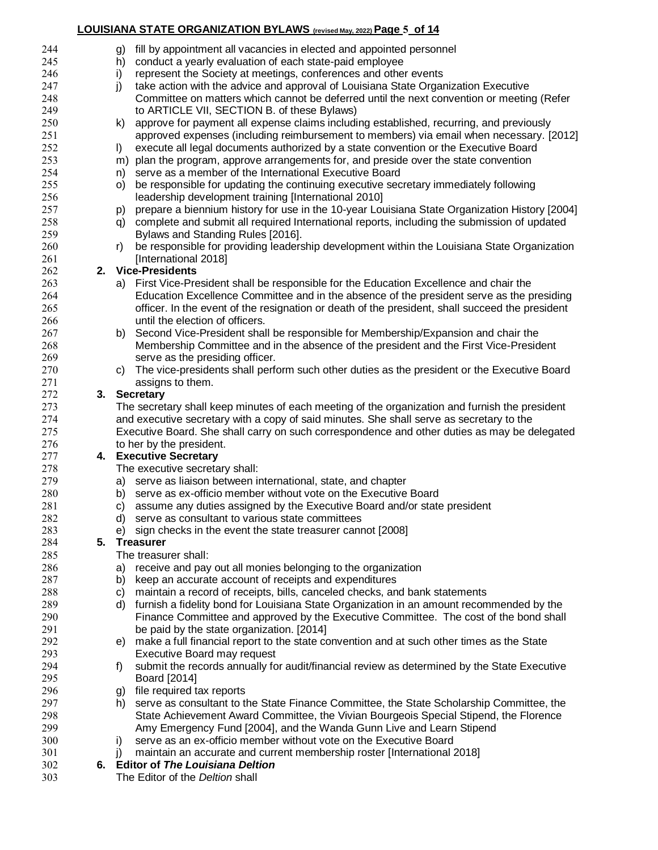#### **LOUISIANA STATE ORGANIZATION BYLAWS (revised May, 2022)Page 5 of 14**

| 244 |    | fill by appointment all vacancies in elected and appointed personnel<br>g)                          |  |  |  |  |  |
|-----|----|-----------------------------------------------------------------------------------------------------|--|--|--|--|--|
| 245 |    | conduct a yearly evaluation of each state-paid employee<br>h)                                       |  |  |  |  |  |
| 246 |    | represent the Society at meetings, conferences and other events<br>i)                               |  |  |  |  |  |
| 247 |    | j)<br>take action with the advice and approval of Louisiana State Organization Executive            |  |  |  |  |  |
| 248 |    | Committee on matters which cannot be deferred until the next convention or meeting (Refer           |  |  |  |  |  |
| 249 |    | to ARTICLE VII, SECTION B. of these Bylaws)                                                         |  |  |  |  |  |
| 250 |    | approve for payment all expense claims including established, recurring, and previously<br>k)       |  |  |  |  |  |
| 251 |    | approved expenses (including reimbursement to members) via email when necessary. [2012]             |  |  |  |  |  |
| 252 |    | execute all legal documents authorized by a state convention or the Executive Board<br>I)           |  |  |  |  |  |
| 253 |    | m) plan the program, approve arrangements for, and preside over the state convention                |  |  |  |  |  |
| 254 |    | n) serve as a member of the International Executive Board                                           |  |  |  |  |  |
| 255 |    | be responsible for updating the continuing executive secretary immediately following<br>O)          |  |  |  |  |  |
| 256 |    | leadership development training [International 2010]                                                |  |  |  |  |  |
| 257 |    | prepare a biennium history for use in the 10-year Louisiana State Organization History [2004]<br>p) |  |  |  |  |  |
| 258 |    | complete and submit all required International reports, including the submission of updated<br>q)   |  |  |  |  |  |
| 259 |    | Bylaws and Standing Rules [2016].                                                                   |  |  |  |  |  |
| 260 |    | be responsible for providing leadership development within the Louisiana State Organization<br>r)   |  |  |  |  |  |
| 261 |    | [International 2018]                                                                                |  |  |  |  |  |
| 262 |    | 2. Vice-Presidents                                                                                  |  |  |  |  |  |
| 263 |    | a) First Vice-President shall be responsible for the Education Excellence and chair the             |  |  |  |  |  |
| 264 |    | Education Excellence Committee and in the absence of the president serve as the presiding           |  |  |  |  |  |
| 265 |    | officer. In the event of the resignation or death of the president, shall succeed the president     |  |  |  |  |  |
| 266 |    | until the election of officers.                                                                     |  |  |  |  |  |
| 267 |    | Second Vice-President shall be responsible for Membership/Expansion and chair the<br>b)             |  |  |  |  |  |
| 268 |    | Membership Committee and in the absence of the president and the First Vice-President               |  |  |  |  |  |
| 269 |    | serve as the presiding officer.                                                                     |  |  |  |  |  |
| 270 |    | The vice-presidents shall perform such other duties as the president or the Executive Board<br>C)   |  |  |  |  |  |
| 271 |    | assigns to them.                                                                                    |  |  |  |  |  |
| 272 |    | 3. Secretary                                                                                        |  |  |  |  |  |
| 273 |    | The secretary shall keep minutes of each meeting of the organization and furnish the president      |  |  |  |  |  |
| 274 |    | and executive secretary with a copy of said minutes. She shall serve as secretary to the            |  |  |  |  |  |
| 275 |    | Executive Board. She shall carry on such correspondence and other duties as may be delegated        |  |  |  |  |  |
| 276 |    | to her by the president.                                                                            |  |  |  |  |  |
| 277 |    | 4. Executive Secretary                                                                              |  |  |  |  |  |
| 278 |    | The executive secretary shall:                                                                      |  |  |  |  |  |
| 279 |    | a) serve as liaison between international, state, and chapter                                       |  |  |  |  |  |
| 280 |    | b) serve as ex-officio member without vote on the Executive Board                                   |  |  |  |  |  |
| 281 |    | c) assume any duties assigned by the Executive Board and/or state president                         |  |  |  |  |  |
| 282 |    | serve as consultant to various state committees<br>d)                                               |  |  |  |  |  |
| 283 |    | sign checks in the event the state treasurer cannot [2008]<br>e)                                    |  |  |  |  |  |
| 284 | 5. | <b>Treasurer</b>                                                                                    |  |  |  |  |  |
| 285 |    | The treasurer shall:                                                                                |  |  |  |  |  |
| 286 |    | receive and pay out all monies belonging to the organization<br>a)                                  |  |  |  |  |  |
| 287 |    | keep an accurate account of receipts and expenditures<br>b)                                         |  |  |  |  |  |
| 288 |    | maintain a record of receipts, bills, canceled checks, and bank statements<br>C)                    |  |  |  |  |  |
| 289 |    | furnish a fidelity bond for Louisiana State Organization in an amount recommended by the<br>d)      |  |  |  |  |  |
| 290 |    | Finance Committee and approved by the Executive Committee. The cost of the bond shall               |  |  |  |  |  |
| 291 |    | be paid by the state organization. [2014]                                                           |  |  |  |  |  |
| 292 |    | make a full financial report to the state convention and at such other times as the State<br>e)     |  |  |  |  |  |
| 293 |    | Executive Board may request                                                                         |  |  |  |  |  |
| 294 |    | submit the records annually for audit/financial review as determined by the State Executive<br>f)   |  |  |  |  |  |
| 295 |    | Board [2014]                                                                                        |  |  |  |  |  |
| 296 |    | file required tax reports<br>g)                                                                     |  |  |  |  |  |
| 297 |    | serve as consultant to the State Finance Committee, the State Scholarship Committee, the<br>h)      |  |  |  |  |  |
| 298 |    | State Achievement Award Committee, the Vivian Bourgeois Special Stipend, the Florence               |  |  |  |  |  |
| 299 |    | Amy Emergency Fund [2004], and the Wanda Gunn Live and Learn Stipend                                |  |  |  |  |  |
| 300 |    | serve as an ex-officio member without vote on the Executive Board<br>i)                             |  |  |  |  |  |
| 301 |    | maintain an accurate and current membership roster [International 2018]<br>j)                       |  |  |  |  |  |
| 302 |    | 6. Editor of The Louisiana Deltion                                                                  |  |  |  |  |  |
| 303 |    | The Editor of the Deltion shall                                                                     |  |  |  |  |  |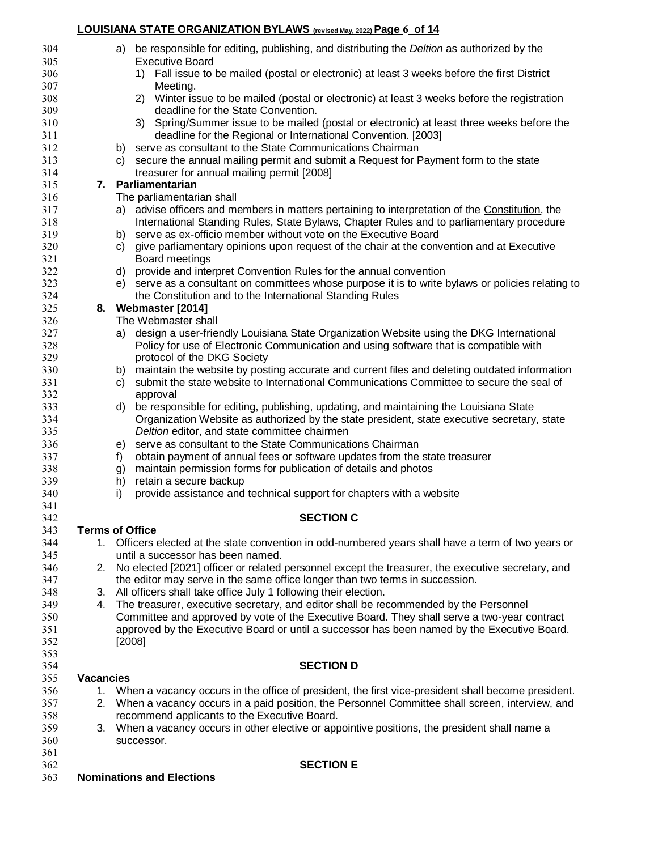#### **LOUISIANA STATE ORGANIZATION BYLAWS (revised May, 2022)Page 6 of 14**

| 304        |                  | a) be responsible for editing, publishing, and distributing the <i>Deltion</i> as authorized by the                                                                                 |  |
|------------|------------------|-------------------------------------------------------------------------------------------------------------------------------------------------------------------------------------|--|
| 305        |                  | <b>Executive Board</b>                                                                                                                                                              |  |
| 306        |                  | Fall issue to be mailed (postal or electronic) at least 3 weeks before the first District<br>1)                                                                                     |  |
| 307        |                  | Meeting.                                                                                                                                                                            |  |
| 308        |                  | 2) Winter issue to be mailed (postal or electronic) at least 3 weeks before the registration                                                                                        |  |
| 309        |                  | deadline for the State Convention.                                                                                                                                                  |  |
| 310        |                  | 3) Spring/Summer issue to be mailed (postal or electronic) at least three weeks before the                                                                                          |  |
| 311        |                  | deadline for the Regional or International Convention. [2003]                                                                                                                       |  |
| 312        |                  | b) serve as consultant to the State Communications Chairman                                                                                                                         |  |
| 313        |                  | secure the annual mailing permit and submit a Request for Payment form to the state<br>C)                                                                                           |  |
| 314        |                  | treasurer for annual mailing permit [2008]<br>7. Parliamentarian                                                                                                                    |  |
| 315<br>316 |                  |                                                                                                                                                                                     |  |
| 317        |                  | The parliamentarian shall                                                                                                                                                           |  |
| 318        |                  | advise officers and members in matters pertaining to interpretation of the Constitution, the<br>a)                                                                                  |  |
| 319        |                  | International Standing Rules, State Bylaws, Chapter Rules and to parliamentary procedure<br>serve as ex-officio member without vote on the Executive Board<br>b)                    |  |
| 320        |                  | give parliamentary opinions upon request of the chair at the convention and at Executive<br>C)                                                                                      |  |
| 321        |                  | Board meetings                                                                                                                                                                      |  |
| 322        |                  | provide and interpret Convention Rules for the annual convention<br>d)                                                                                                              |  |
| 323        |                  | serve as a consultant on committees whose purpose it is to write bylaws or policies relating to<br>e)                                                                               |  |
| 324        |                  | the Constitution and to the International Standing Rules                                                                                                                            |  |
| 325        |                  | 8. Webmaster [2014]                                                                                                                                                                 |  |
| 326        |                  | The Webmaster shall                                                                                                                                                                 |  |
| 327        |                  | design a user-friendly Louisiana State Organization Website using the DKG International<br>a)                                                                                       |  |
| 328        |                  | Policy for use of Electronic Communication and using software that is compatible with                                                                                               |  |
| 329        |                  | protocol of the DKG Society                                                                                                                                                         |  |
| 330        |                  | maintain the website by posting accurate and current files and deleting outdated information<br>b)                                                                                  |  |
| 331        |                  | submit the state website to International Communications Committee to secure the seal of<br>C)                                                                                      |  |
| 332        |                  | approval                                                                                                                                                                            |  |
| 333        |                  | be responsible for editing, publishing, updating, and maintaining the Louisiana State<br>d)                                                                                         |  |
| 334        |                  | Organization Website as authorized by the state president, state executive secretary, state                                                                                         |  |
| 335        |                  | Deltion editor, and state committee chairmen                                                                                                                                        |  |
| 336        |                  | serve as consultant to the State Communications Chairman<br>e)                                                                                                                      |  |
| 337        |                  | obtain payment of annual fees or software updates from the state treasurer<br>f)                                                                                                    |  |
| 338        |                  | maintain permission forms for publication of details and photos<br>g)                                                                                                               |  |
| 339        |                  | retain a secure backup<br>h)                                                                                                                                                        |  |
| 340        |                  | provide assistance and technical support for chapters with a website<br>i)                                                                                                          |  |
| 341        |                  |                                                                                                                                                                                     |  |
| 342        |                  | <b>SECTION C</b>                                                                                                                                                                    |  |
| 343        |                  | <b>Terms of Office</b>                                                                                                                                                              |  |
| 344        |                  | 1. Officers elected at the state convention in odd-numbered years shall have a term of two years or                                                                                 |  |
| 345        |                  | until a successor has been named.                                                                                                                                                   |  |
| 346        | 2.               | No elected [2021] officer or related personnel except the treasurer, the executive secretary, and                                                                                   |  |
| 347        |                  | the editor may serve in the same office longer than two terms in succession.                                                                                                        |  |
| 348        | 3.               | All officers shall take office July 1 following their election.                                                                                                                     |  |
| 349<br>350 | 4.               | The treasurer, executive secretary, and editor shall be recommended by the Personnel<br>Committee and approved by vote of the Executive Board. They shall serve a two-year contract |  |
| 351        |                  | approved by the Executive Board or until a successor has been named by the Executive Board.                                                                                         |  |
| 352        |                  | [2008]                                                                                                                                                                              |  |
| 353        |                  |                                                                                                                                                                                     |  |
| 354        |                  | <b>SECTION D</b>                                                                                                                                                                    |  |
| 355        | <b>Vacancies</b> |                                                                                                                                                                                     |  |
| 356        |                  | 1. When a vacancy occurs in the office of president, the first vice-president shall become president.                                                                               |  |
| 357        |                  | 2. When a vacancy occurs in a paid position, the Personnel Committee shall screen, interview, and                                                                                   |  |
| 358        |                  | recommend applicants to the Executive Board.                                                                                                                                        |  |
| 359        | 3.               | When a vacancy occurs in other elective or appointive positions, the president shall name a                                                                                         |  |
| 360        |                  | successor.                                                                                                                                                                          |  |
| 361        |                  |                                                                                                                                                                                     |  |
| 362        |                  | <b>SECTION E</b>                                                                                                                                                                    |  |
|            |                  |                                                                                                                                                                                     |  |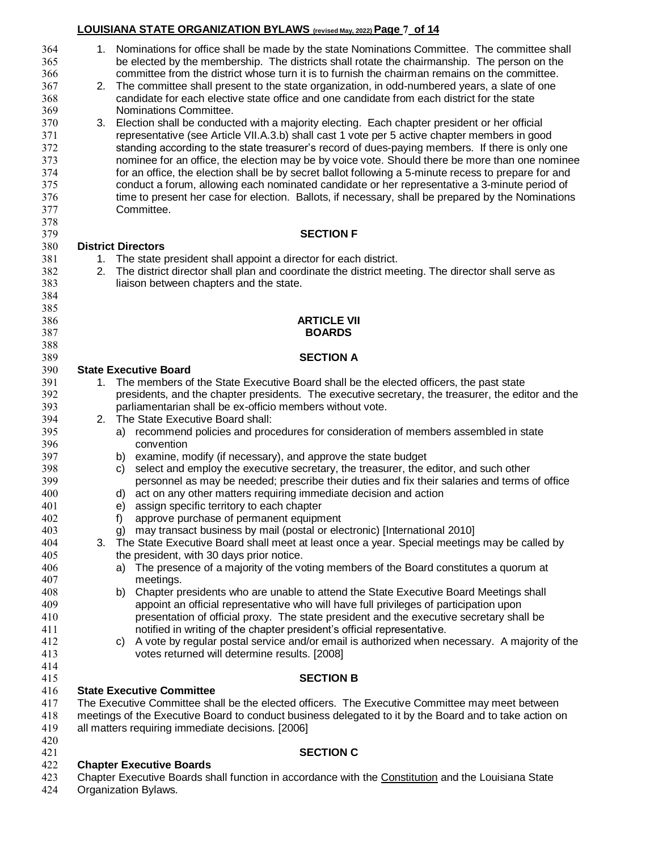# **LOUISIANA STATE ORGANIZATION BYLAWS (revised May, 2022)Page 7 of 14**

| 364          |    | 1. Nominations for office shall be made by the state Nominations Committee. The committee shall        |
|--------------|----|--------------------------------------------------------------------------------------------------------|
| 365          |    | be elected by the membership. The districts shall rotate the chairmanship. The person on the           |
| 366          |    | committee from the district whose turn it is to furnish the chairman remains on the committee.         |
| 367          | 2. | The committee shall present to the state organization, in odd-numbered years, a slate of one           |
|              |    |                                                                                                        |
| 368          |    | candidate for each elective state office and one candidate from each district for the state            |
| 369          |    | Nominations Committee.                                                                                 |
| 370          | 3. | Election shall be conducted with a majority electing. Each chapter president or her official           |
| 371          |    | representative (see Article VII.A.3.b) shall cast 1 vote per 5 active chapter members in good          |
| 372          |    | standing according to the state treasurer's record of dues-paying members. If there is only one        |
| 373          |    | nominee for an office, the election may be by voice vote. Should there be more than one nominee        |
|              |    |                                                                                                        |
| 374          |    | for an office, the election shall be by secret ballot following a 5-minute recess to prepare for and   |
| 375          |    | conduct a forum, allowing each nominated candidate or her representative a 3-minute period of          |
| 376          |    | time to present her case for election. Ballots, if necessary, shall be prepared by the Nominations     |
| 377          |    | Committee.                                                                                             |
| 378          |    |                                                                                                        |
| 379          |    | <b>SECTION F</b>                                                                                       |
|              |    |                                                                                                        |
| 380          |    | <b>District Directors</b>                                                                              |
| 381          | 1. | The state president shall appoint a director for each district.                                        |
| 382          | 2. | The district director shall plan and coordinate the district meeting. The director shall serve as      |
| 383          |    | liaison between chapters and the state.                                                                |
| 384          |    |                                                                                                        |
| 385          |    |                                                                                                        |
| 386          |    | <b>ARTICLE VII</b>                                                                                     |
|              |    |                                                                                                        |
| 387          |    | <b>BOARDS</b>                                                                                          |
| 388          |    |                                                                                                        |
| 389          |    | <b>SECTION A</b>                                                                                       |
| 390          |    | <b>State Executive Board</b>                                                                           |
| 391          |    | 1. The members of the State Executive Board shall be the elected officers, the past state              |
| 392          |    | presidents, and the chapter presidents. The executive secretary, the treasurer, the editor and the     |
|              |    |                                                                                                        |
| 393          |    | parliamentarian shall be ex-officio members without vote.                                              |
| 394          | 2. | The State Executive Board shall:                                                                       |
| 395          |    | recommend policies and procedures for consideration of members assembled in state<br>a)                |
| 396          |    | convention                                                                                             |
| 397          |    | b) examine, modify (if necessary), and approve the state budget                                        |
| 398          |    | select and employ the executive secretary, the treasurer, the editor, and such other<br>C)             |
| 399          |    | personnel as may be needed; prescribe their duties and fix their salaries and terms of office          |
|              |    |                                                                                                        |
| 400          |    | d) act on any other matters requiring immediate decision and action                                    |
| 401          |    | e) assign specific territory to each chapter                                                           |
| 402          |    | approve purchase of permanent equipment<br>f)                                                          |
| 403          |    | g) may transact business by mail (postal or electronic) [International 2010]                           |
| 404          | 3. | The State Executive Board shall meet at least once a year. Special meetings may be called by           |
| 405          |    | the president, with 30 days prior notice.                                                              |
| 406          |    | a) The presence of a majority of the voting members of the Board constitutes a quorum at               |
|              |    |                                                                                                        |
| 407          |    | meetings.                                                                                              |
| 408          |    | Chapter presidents who are unable to attend the State Executive Board Meetings shall<br>b)             |
| 409          |    | appoint an official representative who will have full privileges of participation upon                 |
| 410          |    | presentation of official proxy. The state president and the executive secretary shall be               |
| 411          |    | notified in writing of the chapter president's official representative.                                |
| 412          |    | c) A vote by regular postal service and/or email is authorized when necessary. A majority of the       |
| 413          |    | votes returned will determine results. [2008]                                                          |
| 414          |    |                                                                                                        |
| 415          |    | <b>SECTION B</b>                                                                                       |
|              |    |                                                                                                        |
| 416          |    | <b>State Executive Committee</b>                                                                       |
| 417          |    | The Executive Committee shall be the elected officers. The Executive Committee may meet between        |
| 418          |    | meetings of the Executive Board to conduct business delegated to it by the Board and to take action on |
| 419          |    | all matters requiring immediate decisions. [2006]                                                      |
| 420          |    |                                                                                                        |
| 421          |    | <b>SECTION C</b>                                                                                       |
| 422          |    | <b>Chapter Executive Boards</b>                                                                        |
| 423          |    | Chapter Executive Boards shall function in accordance with the Constitution and the Louisiana State    |
| $A \Omega A$ |    | Organization Pulgur                                                                                    |

Organization Bylaws.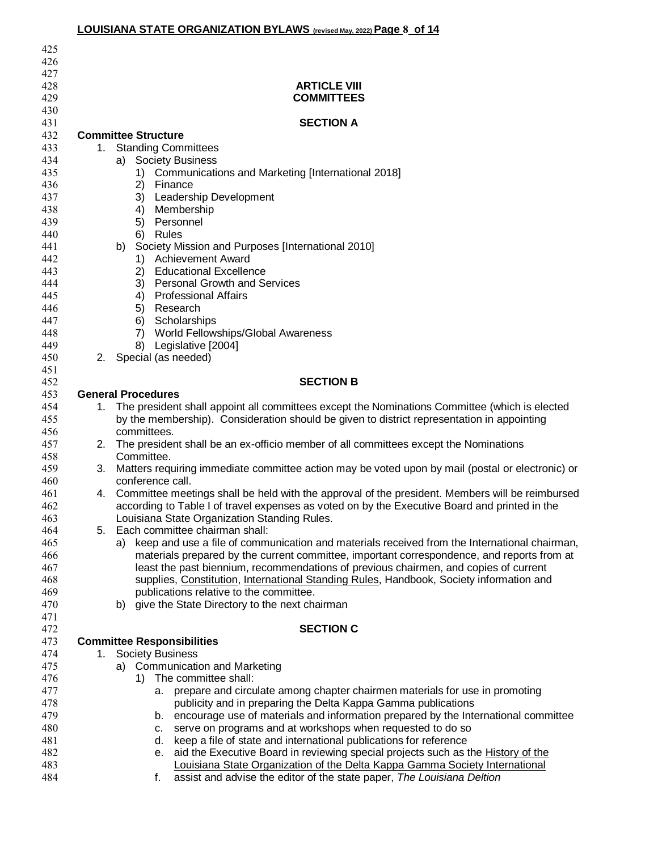|            | LOUISIANA STATE ORGANIZATION BYLAWS (revised May, 2022) Page 8 of 14                                                                                                  |
|------------|-----------------------------------------------------------------------------------------------------------------------------------------------------------------------|
| 425        |                                                                                                                                                                       |
| 426        |                                                                                                                                                                       |
| 427        |                                                                                                                                                                       |
| 428        | <b>ARTICLE VIII</b>                                                                                                                                                   |
| 429        | <b>COMMITTEES</b>                                                                                                                                                     |
| 430        |                                                                                                                                                                       |
| 431        | <b>SECTION A</b>                                                                                                                                                      |
| 432        | <b>Committee Structure</b>                                                                                                                                            |
| 433        | <b>Standing Committees</b><br>1.                                                                                                                                      |
| 434        | <b>Society Business</b><br>a)                                                                                                                                         |
| 435        | Communications and Marketing [International 2018]<br>1)                                                                                                               |
| 436        | 2)<br>Finance                                                                                                                                                         |
| 437        | Leadership Development<br>3)                                                                                                                                          |
| 438        | Membership<br>4)                                                                                                                                                      |
| 439        | Personnel<br>5)                                                                                                                                                       |
| 440        | 6)<br>Rules                                                                                                                                                           |
| 441        | Society Mission and Purposes [International 2010]<br>b)                                                                                                               |
| 442        | 1) Achievement Award                                                                                                                                                  |
| 443        | <b>Educational Excellence</b><br>2)                                                                                                                                   |
| 444        | <b>Personal Growth and Services</b><br>3)                                                                                                                             |
| 445<br>446 | <b>Professional Affairs</b><br>4)<br>5)<br>Research                                                                                                                   |
| 447        | Scholarships<br>6)                                                                                                                                                    |
| 448        | World Fellowships/Global Awareness<br>7)                                                                                                                              |
| 449        | Legislative [2004]<br>8)                                                                                                                                              |
| 450        | Special (as needed)<br>2.                                                                                                                                             |
| 451        |                                                                                                                                                                       |
| 452        | <b>SECTION B</b>                                                                                                                                                      |
| 453        | <b>General Procedures</b>                                                                                                                                             |
| 454        | The president shall appoint all committees except the Nominations Committee (which is elected<br>$1_{-}$                                                              |
| 455        | by the membership). Consideration should be given to district representation in appointing                                                                            |
| 456        | committees.                                                                                                                                                           |
| 457        | 2. The president shall be an ex-officio member of all committees except the Nominations                                                                               |
| 458        | Committee.                                                                                                                                                            |
| 459        | Matters requiring immediate committee action may be voted upon by mail (postal or electronic) or<br>3.                                                                |
| 460        | conference call.                                                                                                                                                      |
| 461        | Committee meetings shall be held with the approval of the president. Members will be reimbursed<br>4.                                                                 |
| 462        | according to Table I of travel expenses as voted on by the Executive Board and printed in the                                                                         |
| 463<br>464 | Louisiana State Organization Standing Rules.<br>Each committee chairman shall:<br>5.                                                                                  |
| 465        | a) keep and use a file of communication and materials received from the International chairman,                                                                       |
| 466        | materials prepared by the current committee, important correspondence, and reports from at                                                                            |
| 467        | least the past biennium, recommendations of previous chairmen, and copies of current                                                                                  |
| 468        | supplies, Constitution, International Standing Rules, Handbook, Society information and                                                                               |
| 469        | publications relative to the committee.                                                                                                                               |
| 470        | give the State Directory to the next chairman<br>b)                                                                                                                   |
| 471        |                                                                                                                                                                       |
| 472        | <b>SECTION C</b>                                                                                                                                                      |
| 473        | <b>Committee Responsibilities</b>                                                                                                                                     |
| 474        | <b>Society Business</b><br>1.                                                                                                                                         |
| 475        | <b>Communication and Marketing</b><br>a)                                                                                                                              |
| 476        | The committee shall:<br>1)                                                                                                                                            |
| 477        | prepare and circulate among chapter chairmen materials for use in promoting<br>а.                                                                                     |
| 478        | publicity and in preparing the Delta Kappa Gamma publications                                                                                                         |
| 479        | b. encourage use of materials and information prepared by the International committee                                                                                 |
| 480        | serve on programs and at workshops when requested to do so<br>C.                                                                                                      |
| 481        | keep a file of state and international publications for reference<br>d.                                                                                               |
| 482<br>483 | aid the Executive Board in reviewing special projects such as the History of the<br>е.<br>Louisiana State Organization of the Delta Kappa Gamma Society International |
| 484        | assist and advise the editor of the state paper, The Louisiana Deltion<br>f.                                                                                          |
|            |                                                                                                                                                                       |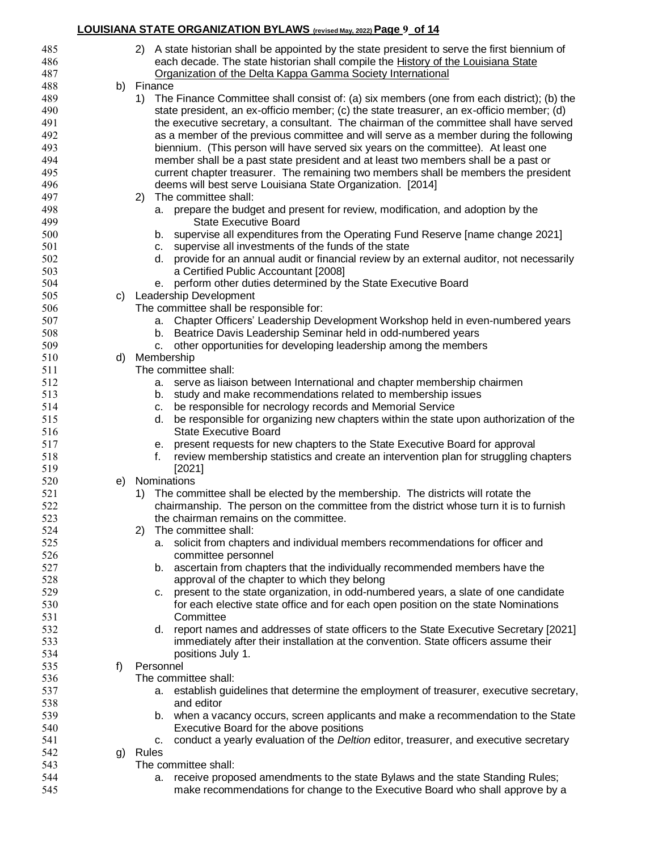# **LOUISIANA STATE ORGANIZATION BYLAWS (revised May, 2022)Page 9 of 14**

| 485 |    | 2) A state historian shall be appointed by the state president to serve the first biennium of    |
|-----|----|--------------------------------------------------------------------------------------------------|
| 486 |    | each decade. The state historian shall compile the <b>History of the Louisiana State</b>         |
| 487 |    | Organization of the Delta Kappa Gamma Society International                                      |
| 488 |    | b) Finance                                                                                       |
| 489 |    | 1) The Finance Committee shall consist of: (a) six members (one from each district); (b) the     |
| 490 |    | state president, an ex-officio member; (c) the state treasurer, an ex-officio member; (d)        |
| 491 |    | the executive secretary, a consultant. The chairman of the committee shall have served           |
| 492 |    | as a member of the previous committee and will serve as a member during the following            |
| 493 |    | biennium. (This person will have served six years on the committee). At least one                |
| 494 |    |                                                                                                  |
|     |    | member shall be a past state president and at least two members shall be a past or               |
| 495 |    | current chapter treasurer. The remaining two members shall be members the president              |
| 496 |    | deems will best serve Louisiana State Organization. [2014]                                       |
| 497 |    | The committee shall:<br>(2)                                                                      |
| 498 |    | prepare the budget and present for review, modification, and adoption by the<br>а.               |
| 499 |    | <b>State Executive Board</b>                                                                     |
| 500 |    | supervise all expenditures from the Operating Fund Reserve [name change 2021]<br>b.              |
| 501 |    | c. supervise all investments of the funds of the state                                           |
| 502 |    | provide for an annual audit or financial review by an external auditor, not necessarily<br>d.    |
| 503 |    | a Certified Public Accountant [2008]                                                             |
| 504 |    | e. perform other duties determined by the State Executive Board                                  |
| 505 | C) | Leadership Development                                                                           |
| 506 |    | The committee shall be responsible for:                                                          |
| 507 |    | Chapter Officers' Leadership Development Workshop held in even-numbered years<br>а.              |
| 508 |    | Beatrice Davis Leadership Seminar held in odd-numbered years<br>b.                               |
| 509 |    | other opportunities for developing leadership among the members<br>c.                            |
| 510 | d) | Membership                                                                                       |
| 511 |    | The committee shall:                                                                             |
| 512 |    | a. serve as liaison between International and chapter membership chairmen                        |
| 513 |    | b. study and make recommendations related to membership issues                                   |
| 514 |    | be responsible for necrology records and Memorial Service<br>c.                                  |
| 515 |    | be responsible for organizing new chapters within the state upon authorization of the<br>d.      |
| 516 |    | <b>State Executive Board</b>                                                                     |
| 517 |    | present requests for new chapters to the State Executive Board for approval                      |
| 518 |    | е.<br>review membership statistics and create an intervention plan for struggling chapters<br>f. |
|     |    |                                                                                                  |
| 519 |    | [2021]<br>Nominations                                                                            |
| 520 | e) |                                                                                                  |
| 521 |    | The committee shall be elected by the membership. The districts will rotate the<br>1)            |
| 522 |    | chairmanship. The person on the committee from the district whose turn it is to furnish          |
| 523 |    | the chairman remains on the committee.                                                           |
| 524 |    | The committee shall:<br>2)                                                                       |
| 525 |    | solicit from chapters and individual members recommendations for officer and<br>а.               |
| 526 |    | committee personnel                                                                              |
| 527 |    | ascertain from chapters that the individually recommended members have the<br>b.                 |
| 528 |    | approval of the chapter to which they belong                                                     |
| 529 |    | present to the state organization, in odd-numbered years, a slate of one candidate<br>c.         |
| 530 |    | for each elective state office and for each open position on the state Nominations               |
| 531 |    | Committee                                                                                        |
| 532 |    | report names and addresses of state officers to the State Executive Secretary [2021]<br>d.       |
| 533 |    | immediately after their installation at the convention. State officers assume their              |
| 534 |    | positions July 1.                                                                                |
| 535 | f) | Personnel                                                                                        |
| 536 |    | The committee shall:                                                                             |
| 537 |    | establish guidelines that determine the employment of treasurer, executive secretary,<br>а.      |
| 538 |    | and editor                                                                                       |
| 539 |    | when a vacancy occurs, screen applicants and make a recommendation to the State<br>b.            |
| 540 |    | Executive Board for the above positions                                                          |
| 541 |    | conduct a yearly evaluation of the Deltion editor, treasurer, and executive secretary<br>c.      |
| 542 |    | Rules                                                                                            |
| 543 | g) | The committee shall:                                                                             |
|     |    |                                                                                                  |
| 544 |    | receive proposed amendments to the state Bylaws and the state Standing Rules;<br>а.              |
| 545 |    | make recommendations for change to the Executive Board who shall approve by a                    |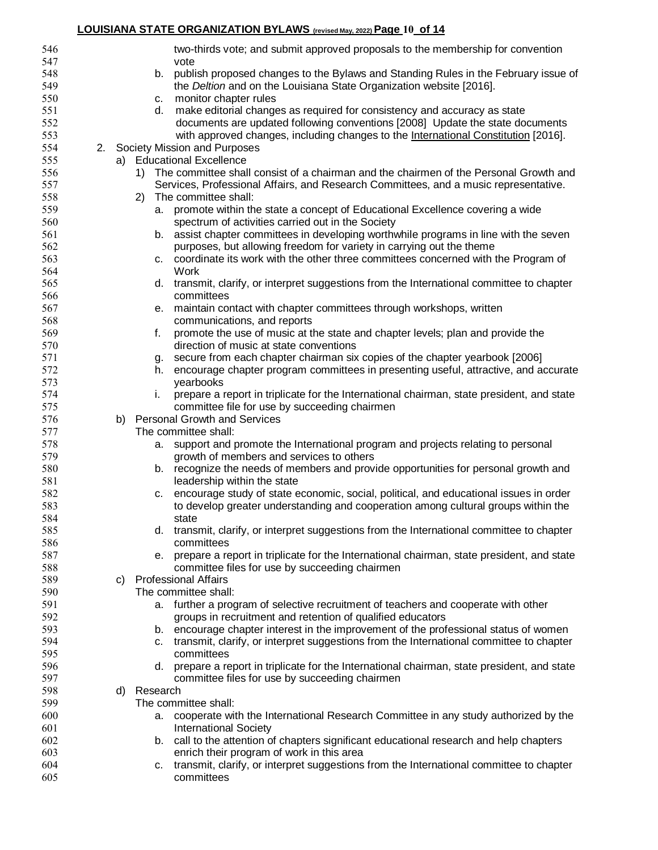# **LOUISIANA STATE ORGANIZATION BYLAWS (revised May, 2022)Page 10 of 14**

| 546        |    |          | two-thirds vote; and submit approved proposals to the membership for convention                                       |
|------------|----|----------|-----------------------------------------------------------------------------------------------------------------------|
| 547        |    |          | vote                                                                                                                  |
| 548        |    | b.       | publish proposed changes to the Bylaws and Standing Rules in the February issue of                                    |
| 549<br>550 |    |          | the Deltion and on the Louisiana State Organization website [2016].                                                   |
| 551        |    | c.<br>d. | monitor chapter rules<br>make editorial changes as required for consistency and accuracy as state                     |
| 552        |    |          | documents are updated following conventions [2008] Update the state documents                                         |
| 553        |    |          |                                                                                                                       |
| 554        |    |          | with approved changes, including changes to the International Constitution [2016].<br>2. Society Mission and Purposes |
| 555        |    |          | a) Educational Excellence                                                                                             |
| 556        |    |          | 1) The committee shall consist of a chairman and the chairmen of the Personal Growth and                              |
| 557        |    |          | Services, Professional Affairs, and Research Committees, and a music representative.                                  |
| 558        |    | 2)       | The committee shall:                                                                                                  |
| 559        |    | a.       | promote within the state a concept of Educational Excellence covering a wide                                          |
| 560        |    |          | spectrum of activities carried out in the Society                                                                     |
| 561        |    |          | b. assist chapter committees in developing worthwhile programs in line with the seven                                 |
| 562        |    |          | purposes, but allowing freedom for variety in carrying out the theme                                                  |
| 563        |    | C.       | coordinate its work with the other three committees concerned with the Program of                                     |
| 564        |    |          | Work                                                                                                                  |
| 565        |    |          | d. transmit, clarify, or interpret suggestions from the International committee to chapter                            |
| 566        |    |          | committees                                                                                                            |
| 567        |    | е.       | maintain contact with chapter committees through workshops, written                                                   |
| 568        |    |          | communications, and reports                                                                                           |
| 569        |    | f.       | promote the use of music at the state and chapter levels; plan and provide the                                        |
| 570        |    |          | direction of music at state conventions                                                                               |
| 571        |    | g.       | secure from each chapter chairman six copies of the chapter yearbook [2006]                                           |
| 572        |    | h.       | encourage chapter program committees in presenting useful, attractive, and accurate                                   |
| 573        |    |          | yearbooks                                                                                                             |
| 574        |    | i.       | prepare a report in triplicate for the International chairman, state president, and state                             |
| 575        |    |          | committee file for use by succeeding chairmen                                                                         |
| 576        | b) |          | <b>Personal Growth and Services</b>                                                                                   |
| 577        |    |          | The committee shall:                                                                                                  |
| 578        |    |          | a. support and promote the International program and projects relating to personal                                    |
| 579        |    |          | growth of members and services to others                                                                              |
| 580        |    |          | b. recognize the needs of members and provide opportunities for personal growth and                                   |
| 581        |    |          | leadership within the state                                                                                           |
| 582        |    | C.       | encourage study of state economic, social, political, and educational issues in order                                 |
| 583        |    |          | to develop greater understanding and cooperation among cultural groups within the                                     |
| 584        |    |          | state                                                                                                                 |
| 585        |    |          | d. transmit, clarify, or interpret suggestions from the International committee to chapter                            |
| 586        |    |          | committees                                                                                                            |
| 587        |    | е.       | prepare a report in triplicate for the International chairman, state president, and state                             |
| 588        |    |          | committee files for use by succeeding chairmen                                                                        |
| 589        | C) |          | <b>Professional Affairs</b>                                                                                           |
| 590        |    |          | The committee shall:                                                                                                  |
| 591        |    |          | a. further a program of selective recruitment of teachers and cooperate with other                                    |
| 592        |    |          | groups in recruitment and retention of qualified educators                                                            |
| 593        |    |          | b. encourage chapter interest in the improvement of the professional status of women                                  |
| 594        |    | c.       | transmit, clarify, or interpret suggestions from the International committee to chapter                               |
| 595        |    |          | committees                                                                                                            |
| 596        |    | d.       | prepare a report in triplicate for the International chairman, state president, and state                             |
| 597        |    |          | committee files for use by succeeding chairmen                                                                        |
| 598        | d) | Research |                                                                                                                       |
| 599        |    |          | The committee shall:                                                                                                  |
| 600        |    | а.       | cooperate with the International Research Committee in any study authorized by the                                    |
| 601        |    |          | <b>International Society</b>                                                                                          |
|            |    |          |                                                                                                                       |
| 602        |    |          | b. call to the attention of chapters significant educational research and help chapters                               |
| 603        |    |          | enrich their program of work in this area                                                                             |
| 604<br>605 |    | C.       | transmit, clarify, or interpret suggestions from the International committee to chapter<br>committees                 |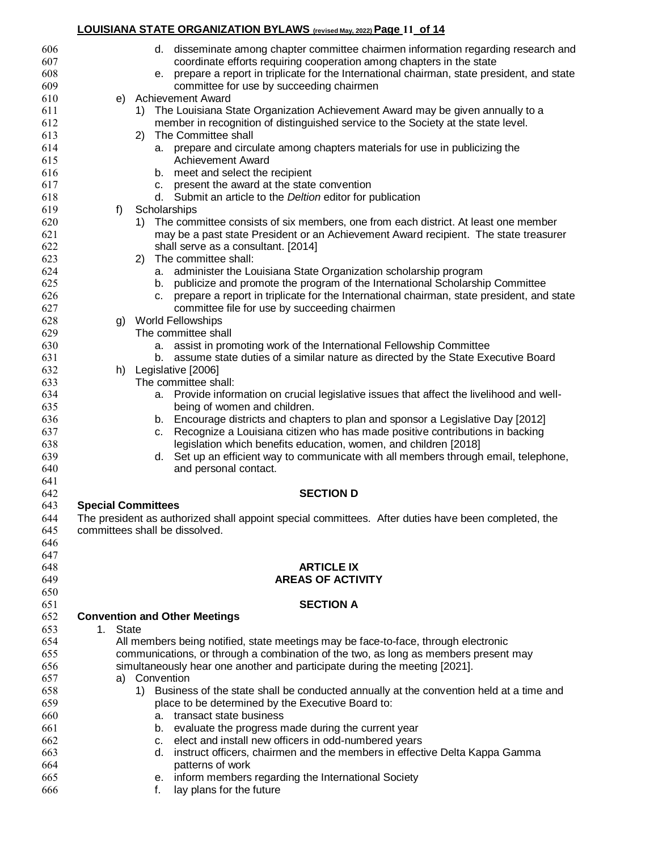#### **LOUISIANA STATE ORGANIZATION BYLAWS (revised May, 2022)Page 11 of 14**

| 606<br>607<br>608<br>609 | d. disseminate among chapter committee chairmen information regarding research and<br>coordinate efforts requiring cooperation among chapters in the state<br>prepare a report in triplicate for the International chairman, state president, and state<br>е.<br>committee for use by succeeding chairmen |
|--------------------------|-----------------------------------------------------------------------------------------------------------------------------------------------------------------------------------------------------------------------------------------------------------------------------------------------------------|
| 610                      | e) Achievement Award                                                                                                                                                                                                                                                                                      |
| 611                      | 1) The Louisiana State Organization Achievement Award may be given annually to a                                                                                                                                                                                                                          |
| 612                      | member in recognition of distinguished service to the Society at the state level.                                                                                                                                                                                                                         |
| 613                      | 2) The Committee shall                                                                                                                                                                                                                                                                                    |
| 614                      | a. prepare and circulate among chapters materials for use in publicizing the                                                                                                                                                                                                                              |
| 615                      | <b>Achievement Award</b>                                                                                                                                                                                                                                                                                  |
| 616                      | b. meet and select the recipient                                                                                                                                                                                                                                                                          |
| 617                      | c. present the award at the state convention                                                                                                                                                                                                                                                              |
| 618                      | d. Submit an article to the Deltion editor for publication                                                                                                                                                                                                                                                |
| 619                      | Scholarships<br>f)                                                                                                                                                                                                                                                                                        |
| 620<br>621               | The committee consists of six members, one from each district. At least one member<br>1)<br>may be a past state President or an Achievement Award recipient. The state treasurer                                                                                                                          |
| 622                      | shall serve as a consultant. [2014]                                                                                                                                                                                                                                                                       |
| 623                      | 2) The committee shall:                                                                                                                                                                                                                                                                                   |
| 624                      | a. administer the Louisiana State Organization scholarship program                                                                                                                                                                                                                                        |
| 625                      | b. publicize and promote the program of the International Scholarship Committee                                                                                                                                                                                                                           |
| 626                      | prepare a report in triplicate for the International chairman, state president, and state<br>C.                                                                                                                                                                                                           |
| 627                      | committee file for use by succeeding chairmen                                                                                                                                                                                                                                                             |
| 628                      | <b>World Fellowships</b><br>g)                                                                                                                                                                                                                                                                            |
| 629                      | The committee shall                                                                                                                                                                                                                                                                                       |
| 630<br>631               | assist in promoting work of the International Fellowship Committee<br>а.<br>b. assume state duties of a similar nature as directed by the State Executive Board                                                                                                                                           |
| 632                      | h) Legislative [2006]                                                                                                                                                                                                                                                                                     |
| 633                      | The committee shall:                                                                                                                                                                                                                                                                                      |
| 634                      | Provide information on crucial legislative issues that affect the livelihood and well-<br>а.                                                                                                                                                                                                              |
| 635                      | being of women and children.                                                                                                                                                                                                                                                                              |
| 636                      | b. Encourage districts and chapters to plan and sponsor a Legislative Day [2012]                                                                                                                                                                                                                          |
| 637                      | Recognize a Louisiana citizen who has made positive contributions in backing<br>C.                                                                                                                                                                                                                        |
| 638                      | legislation which benefits education, women, and children [2018]                                                                                                                                                                                                                                          |
| 639<br>640               | Set up an efficient way to communicate with all members through email, telephone,<br>d.<br>and personal contact.                                                                                                                                                                                          |
| 641                      |                                                                                                                                                                                                                                                                                                           |
| 642                      | <b>SECTION D</b>                                                                                                                                                                                                                                                                                          |
| 643                      | <b>Special Committees</b>                                                                                                                                                                                                                                                                                 |
| 644                      | The president as authorized shall appoint special committees. After duties have been completed, the                                                                                                                                                                                                       |
| 645                      | committees shall be dissolved.                                                                                                                                                                                                                                                                            |
| 646                      |                                                                                                                                                                                                                                                                                                           |
| 647                      |                                                                                                                                                                                                                                                                                                           |
| 648<br>649               | <b>ARTICLE IX</b><br><b>AREAS OF ACTIVITY</b>                                                                                                                                                                                                                                                             |
| 650                      |                                                                                                                                                                                                                                                                                                           |
| 651                      | <b>SECTION A</b>                                                                                                                                                                                                                                                                                          |
| 652                      | <b>Convention and Other Meetings</b>                                                                                                                                                                                                                                                                      |
| 653                      | <b>State</b><br>$1_{\cdot}$                                                                                                                                                                                                                                                                               |
| 654                      | All members being notified, state meetings may be face-to-face, through electronic                                                                                                                                                                                                                        |
| 655                      | communications, or through a combination of the two, as long as members present may                                                                                                                                                                                                                       |
| 656                      | simultaneously hear one another and participate during the meeting [2021].                                                                                                                                                                                                                                |
| 657                      | Convention<br>a)                                                                                                                                                                                                                                                                                          |
| 658<br>659               | 1) Business of the state shall be conducted annually at the convention held at a time and<br>place to be determined by the Executive Board to:                                                                                                                                                            |
| 660                      | a. transact state business                                                                                                                                                                                                                                                                                |
| 661                      | b. evaluate the progress made during the current year                                                                                                                                                                                                                                                     |
| 662                      | c. elect and install new officers in odd-numbered years                                                                                                                                                                                                                                                   |
| 663                      | instruct officers, chairmen and the members in effective Delta Kappa Gamma<br>d.                                                                                                                                                                                                                          |
| 664                      | patterns of work                                                                                                                                                                                                                                                                                          |
| 665                      | e. inform members regarding the International Society                                                                                                                                                                                                                                                     |
| 666                      | lay plans for the future<br>f.                                                                                                                                                                                                                                                                            |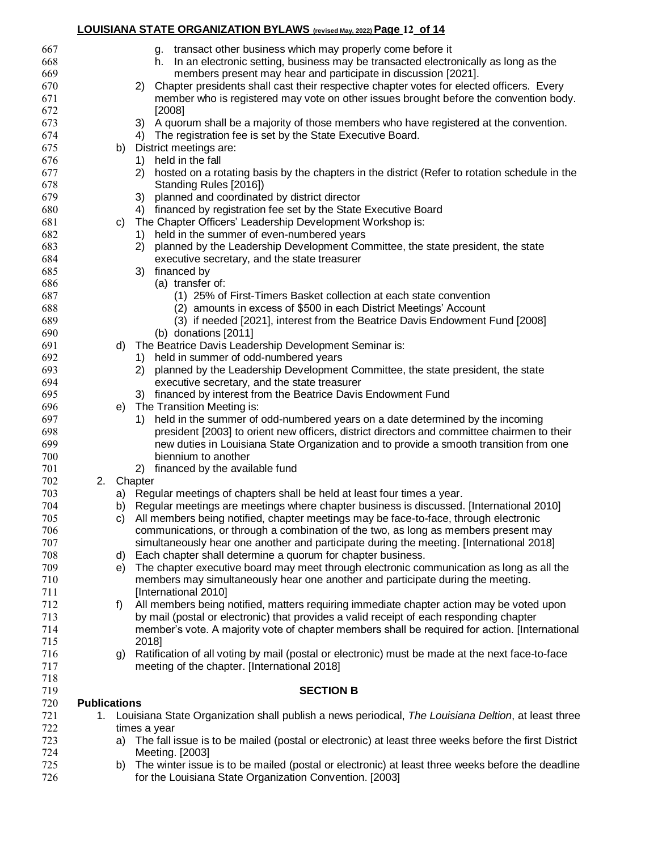# **LOUISIANA STATE ORGANIZATION BYLAWS (revised May, 2022)Page 12 of 14**

| 667        |                     |    | g. transact other business which may properly come before it                                                     |
|------------|---------------------|----|------------------------------------------------------------------------------------------------------------------|
| 668        |                     |    | h. In an electronic setting, business may be transacted electronically as long as the                            |
| 669        |                     |    | members present may hear and participate in discussion [2021].                                                   |
| 670        |                     |    | Chapter presidents shall cast their respective chapter votes for elected officers. Every<br>2)                   |
| 671        |                     |    | member who is registered may vote on other issues brought before the convention body.                            |
| 672        |                     |    | [2008]                                                                                                           |
| 673        |                     |    | A quorum shall be a majority of those members who have registered at the convention.<br>3)                       |
| 674        |                     |    | The registration fee is set by the State Executive Board.<br>4)                                                  |
| 675        |                     | b) | District meetings are:                                                                                           |
| 676        |                     |    | held in the fall<br>1)                                                                                           |
| 677        |                     |    | 2)<br>hosted on a rotating basis by the chapters in the district (Refer to rotation schedule in the              |
| 678        |                     |    | Standing Rules [2016])                                                                                           |
| 679        |                     |    | planned and coordinated by district director<br>3)                                                               |
| 680        |                     |    | 4) financed by registration fee set by the State Executive Board                                                 |
| 681        |                     | C) | The Chapter Officers' Leadership Development Workshop is:                                                        |
| 682        |                     |    | 1) held in the summer of even-numbered years                                                                     |
| 683        |                     |    | planned by the Leadership Development Committee, the state president, the state<br>2)                            |
| 684        |                     |    | executive secretary, and the state treasurer                                                                     |
| 685        |                     |    | financed by<br>3)                                                                                                |
| 686        |                     |    | (a) transfer of:                                                                                                 |
| 687        |                     |    | (1) 25% of First-Timers Basket collection at each state convention                                               |
| 688        |                     |    | (2) amounts in excess of \$500 in each District Meetings' Account                                                |
| 689        |                     |    | (3) if needed [2021], interest from the Beatrice Davis Endowment Fund [2008]                                     |
| 690        |                     |    | (b) donations [2011]                                                                                             |
| 691        |                     | d) | The Beatrice Davis Leadership Development Seminar is:                                                            |
| 692        |                     |    | 1) held in summer of odd-numbered years                                                                          |
| 693        |                     |    | planned by the Leadership Development Committee, the state president, the state<br>2)                            |
| 694        |                     |    | executive secretary, and the state treasurer                                                                     |
| 695        |                     |    | financed by interest from the Beatrice Davis Endowment Fund<br>3)                                                |
| 696        |                     | e) | The Transition Meeting is:                                                                                       |
| 697        |                     |    | held in the summer of odd-numbered years on a date determined by the incoming<br>1)                              |
| 698        |                     |    | president [2003] to orient new officers, district directors and committee chairmen to their                      |
| 699        |                     |    | new duties in Louisiana State Organization and to provide a smooth transition from one                           |
| 700        |                     |    | biennium to another                                                                                              |
| 701        |                     |    | financed by the available fund<br>2)                                                                             |
| 702        |                     |    | 2. Chapter                                                                                                       |
| 703        |                     |    | a) Regular meetings of chapters shall be held at least four times a year.                                        |
| 704        |                     |    | b) Regular meetings are meetings where chapter business is discussed. [International 2010]                       |
| 705        |                     | C) | All members being notified, chapter meetings may be face-to-face, through electronic                             |
| 706        |                     |    | communications, or through a combination of the two, as long as members present may                              |
| 707        |                     |    | simultaneously hear one another and participate during the meeting. [International 2018]                         |
| 708        |                     | d) | Each chapter shall determine a quorum for chapter business.                                                      |
| 709        |                     | e) | The chapter executive board may meet through electronic communication as long as all the                         |
| 710<br>711 |                     |    | members may simultaneously hear one another and participate during the meeting.                                  |
| 712        |                     | f) | [International 2010]<br>All members being notified, matters requiring immediate chapter action may be voted upon |
| 713        |                     |    | by mail (postal or electronic) that provides a valid receipt of each responding chapter                          |
| 714        |                     |    | member's vote. A majority vote of chapter members shall be required for action. [International                   |
| 715        |                     |    | 2018]                                                                                                            |
| 716        |                     | g) | Ratification of all voting by mail (postal or electronic) must be made at the next face-to-face                  |
| 717        |                     |    | meeting of the chapter. [International 2018]                                                                     |
| 718        |                     |    |                                                                                                                  |
| 719        |                     |    | <b>SECTION B</b>                                                                                                 |
| 720        | <b>Publications</b> |    |                                                                                                                  |
| 721        | 1.                  |    | Louisiana State Organization shall publish a news periodical, The Louisiana Deltion, at least three              |
| 722        |                     |    | times a year                                                                                                     |
| 723        |                     | a) | The fall issue is to be mailed (postal or electronic) at least three weeks before the first District             |
| 724        |                     |    | Meeting. [2003]                                                                                                  |
| 725        |                     | b) | The winter issue is to be mailed (postal or electronic) at least three weeks before the deadline                 |
| 726        |                     |    | for the Louisiana State Organization Convention. [2003]                                                          |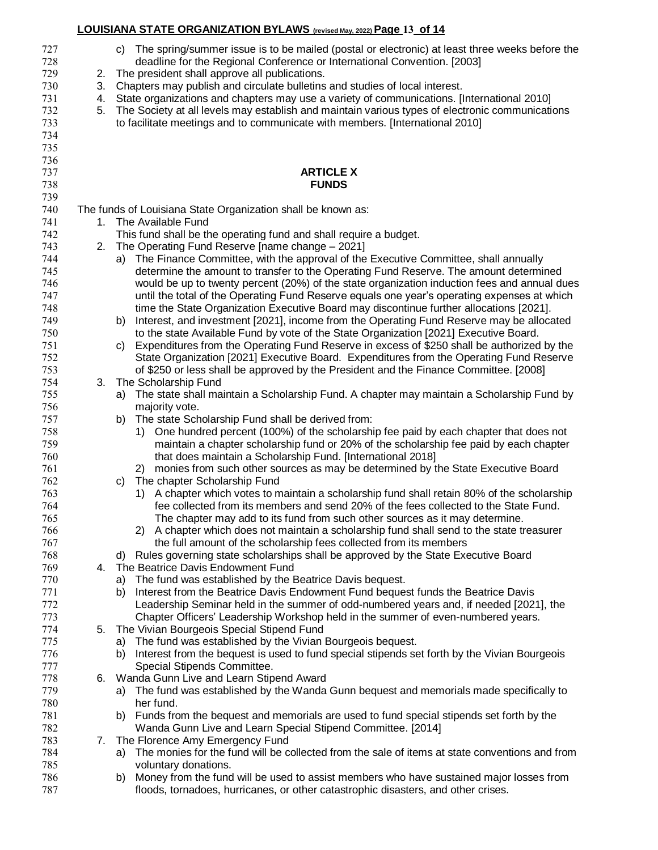| 727<br>728 |    | c) The spring/summer issue is to be mailed (postal or electronic) at least three weeks before the<br>deadline for the Regional Conference or International Convention. [2003]       |
|------------|----|-------------------------------------------------------------------------------------------------------------------------------------------------------------------------------------|
| 729        | 2. | The president shall approve all publications.                                                                                                                                       |
| 730        | 3. | Chapters may publish and circulate bulletins and studies of local interest.                                                                                                         |
| 731        | 4. | State organizations and chapters may use a variety of communications. [International 2010]                                                                                          |
| 732        | 5. | The Society at all levels may establish and maintain various types of electronic communications                                                                                     |
| 733        |    | to facilitate meetings and to communicate with members. [International 2010]                                                                                                        |
| 734        |    |                                                                                                                                                                                     |
| 735        |    |                                                                                                                                                                                     |
| 736        |    |                                                                                                                                                                                     |
| 737        |    | <b>ARTICLE X</b>                                                                                                                                                                    |
| 738        |    | <b>FUNDS</b>                                                                                                                                                                        |
| 739        |    |                                                                                                                                                                                     |
| 740        |    | The funds of Louisiana State Organization shall be known as:                                                                                                                        |
| 741        |    | 1. The Available Fund                                                                                                                                                               |
| 742        |    | This fund shall be the operating fund and shall require a budget.                                                                                                                   |
| 743        |    | 2. The Operating Fund Reserve [name change - 2021]                                                                                                                                  |
| 744        |    | The Finance Committee, with the approval of the Executive Committee, shall annually<br>a)                                                                                           |
| 745        |    | determine the amount to transfer to the Operating Fund Reserve. The amount determined                                                                                               |
| 746        |    | would be up to twenty percent (20%) of the state organization induction fees and annual dues                                                                                        |
| 747        |    | until the total of the Operating Fund Reserve equals one year's operating expenses at which                                                                                         |
| 748        |    | time the State Organization Executive Board may discontinue further allocations [2021].                                                                                             |
| 749        |    | Interest, and investment [2021], income from the Operating Fund Reserve may be allocated<br>b)                                                                                      |
| 750        |    | to the state Available Fund by vote of the State Organization [2021] Executive Board.                                                                                               |
| 751        |    | Expenditures from the Operating Fund Reserve in excess of \$250 shall be authorized by the<br>C)                                                                                    |
| 752        |    | State Organization [2021] Executive Board. Expenditures from the Operating Fund Reserve                                                                                             |
| 753        |    | of \$250 or less shall be approved by the President and the Finance Committee. [2008]                                                                                               |
| 754        | 3. | The Scholarship Fund                                                                                                                                                                |
| 755        |    | The state shall maintain a Scholarship Fund. A chapter may maintain a Scholarship Fund by<br>a)                                                                                     |
| 756        |    | majority vote.                                                                                                                                                                      |
| 757        |    | The state Scholarship Fund shall be derived from:<br>b)                                                                                                                             |
| 758        |    | One hundred percent (100%) of the scholarship fee paid by each chapter that does not<br>1)                                                                                          |
| 759        |    | maintain a chapter scholarship fund or 20% of the scholarship fee paid by each chapter                                                                                              |
| 760        |    | that does maintain a Scholarship Fund. [International 2018]                                                                                                                         |
| 761        |    | 2) monies from such other sources as may be determined by the State Executive Board                                                                                                 |
| 762        |    | The chapter Scholarship Fund<br>C)                                                                                                                                                  |
| 763<br>764 |    | 1) A chapter which votes to maintain a scholarship fund shall retain 80% of the scholarship<br>fee collected from its members and send 20% of the fees collected to the State Fund. |
| 765        |    |                                                                                                                                                                                     |
| 766        |    | The chapter may add to its fund from such other sources as it may determine<br>2) A chapter which does not maintain a scholarship fund shall send to the state treasurer            |
| 767        |    | the full amount of the scholarship fees collected from its members                                                                                                                  |
| 768        |    | Rules governing state scholarships shall be approved by the State Executive Board<br>d) l                                                                                           |
| 769        | 4. | The Beatrice Davis Endowment Fund                                                                                                                                                   |
| 770        |    | a) The fund was established by the Beatrice Davis bequest.                                                                                                                          |
| 771        |    | Interest from the Beatrice Davis Endowment Fund bequest funds the Beatrice Davis<br>b)                                                                                              |
| 772        |    | Leadership Seminar held in the summer of odd-numbered years and, if needed [2021], the                                                                                              |
| 773        |    | Chapter Officers' Leadership Workshop held in the summer of even-numbered years.                                                                                                    |
| 774        | 5. | The Vivian Bourgeois Special Stipend Fund                                                                                                                                           |
| 775        |    | a) The fund was established by the Vivian Bourgeois bequest.                                                                                                                        |
| 776        |    | Interest from the bequest is used to fund special stipends set forth by the Vivian Bourgeois<br>b).                                                                                 |
| 777        |    | Special Stipends Committee.                                                                                                                                                         |
| 778        |    | 6. Wanda Gunn Live and Learn Stipend Award                                                                                                                                          |
| 779        |    | The fund was established by the Wanda Gunn bequest and memorials made specifically to<br>a)                                                                                         |
| 780        |    | her fund.                                                                                                                                                                           |
| 781        |    | Funds from the bequest and memorials are used to fund special stipends set forth by the<br>b).                                                                                      |
| 782        |    | Wanda Gunn Live and Learn Special Stipend Committee. [2014]                                                                                                                         |
| 783        | 7. | The Florence Amy Emergency Fund                                                                                                                                                     |
| 784        |    | The monies for the fund will be collected from the sale of items at state conventions and from<br>a)                                                                                |
| 785        |    | voluntary donations.                                                                                                                                                                |
| 786        |    | Money from the fund will be used to assist members who have sustained major losses from<br>b)                                                                                       |
| 787        |    | floods, tornadoes, hurricanes, or other catastrophic disasters, and other crises.                                                                                                   |

**LOUISIANA STATE ORGANIZATION BYLAWS (revised May, 2022)Page 13 of 14**